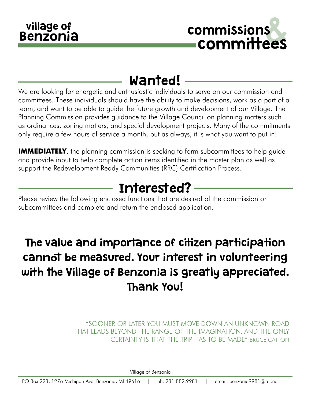

# Wanted!

We are looking for energetic and enthusiastic individuals to serve on our commission and committees. These individuals should have the ability to make decisions, work as a part of a team, and want to be able to guide the future growth and development of our Village. The Planning Commission provides guidance to the Village Council on planning matters such as ordinances, zoning matters, and special development projects. Many of the commitments only require a few hours of service a month, but as always, it is what you want to put in!

**IMMEDIATELY**, the planning commission is seeking to form subcommittees to help guide and provide input to help complete action items identified in the master plan as well as support the Redevelopment Ready Communities (RRC) Certification Process.

# Interested?

Please review the following enclosed functions that are desired of the commission or subcommittees and complete and return the enclosed application.

# The value and importance of citizen participation cannot be measured. Your interest in volunteering with the Village of Benzonia is greatly appreciated. Thank You!

"SOONER OR LATER YOU MUST MOVE DOWN AN UNKNOWN ROAD THAT LEADS BEYOND THE RANGE OF THE IMAGINATION, AND THE ONLY CERTAINTY IS THAT THE TRIP HAS TO BE MADE" BRUCE CATTON

Village of Benzonia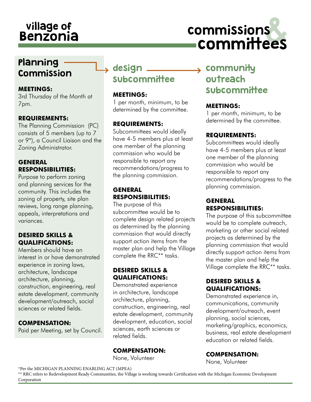# village of dividends and commissions<br>Benzonia committees committees

## Planning Commission

#### **MEETINGS:**

3rd Thursday of the Month at 7pm.

#### **REQUIREMENTS:**

The Planning Commission (PC) consists of 5 members (up to 7 or 9\*), a Council Liaison and the Zoning Administrator.

### **GENERAL RESPONSIBILITIES:**

Purpose to perform zoning and planning services for the community. This includes the zoning of property, site plan reviews, long range planning, appeals, interpretations and variances.

#### **DESIRED SKILLS & QUALIFICATIONS:**

Members should have an interest in or have demonstrated experience in zoning laws, architecture, landscape architecture, planning, construction, engineering, real estate development, community development/outreach, social sciences or related fields.

#### **COMPENSATION:**

Paid per Meeting, set by Council.

## design \_\_ subcommittee

#### **MEETINGS:**

1 per month, minimum, to be determined by the committee.

### **REQUIREMENTS:**

Subcommittees would ideally have 4-5 members plus at least one member of the planning commission who would be responsible to report any recommendations/progress to the planning commission.

#### **GENERAL RESPONSIBILITIES:**

The purpose of this subcommittee would be to complete design related projects as determined by the planning commission that would directly support action items from the master plan and help the Village complete the RRC\*\* tasks.

### **DESIRED SKILLS & QUALIFICATIONS:**

Demonstrated experience in architecture, landscape architecture, planning, construction, engineering, real estate development, community development, education, social sciences, earth sciences or related fields.

### **COMPENSATION:**

None, Volunteer

## $\rightarrow$  community outreach **subcommittee**

#### **MEETINGS:**

1 per month, minimum, to be determined by the committee.

#### **REQUIREMENTS:**

Subcommittees would ideally have 4-5 members plus at least one member of the planning commission who would be responsible to report any recommendations/progress to the planning commission.

#### **GENERAL RESPONSIBILITIES:**

The purpose of this subcommittee would be to complete outreach, marketing or other social related projects as determined by the planning commission that would directly support action items from the master plan and help the Village complete the RRC\*\* tasks.

#### **DESIRED SKILLS & QUALIFICATIONS:**

Demonstrated experience in, communications, community development/outreach, event planning, social sciences, marketing/graphics, economics, business, real estate development education or related fields.

### **COMPENSATION:**

None, Volunteer

\*Per the MICHIGAN PLANNING ENABLING ACT (MPEA)

\*\* RRC refers to Redevelopment Ready Communities, the Village is working towards Certification with the Michigan Economic Development Corporation